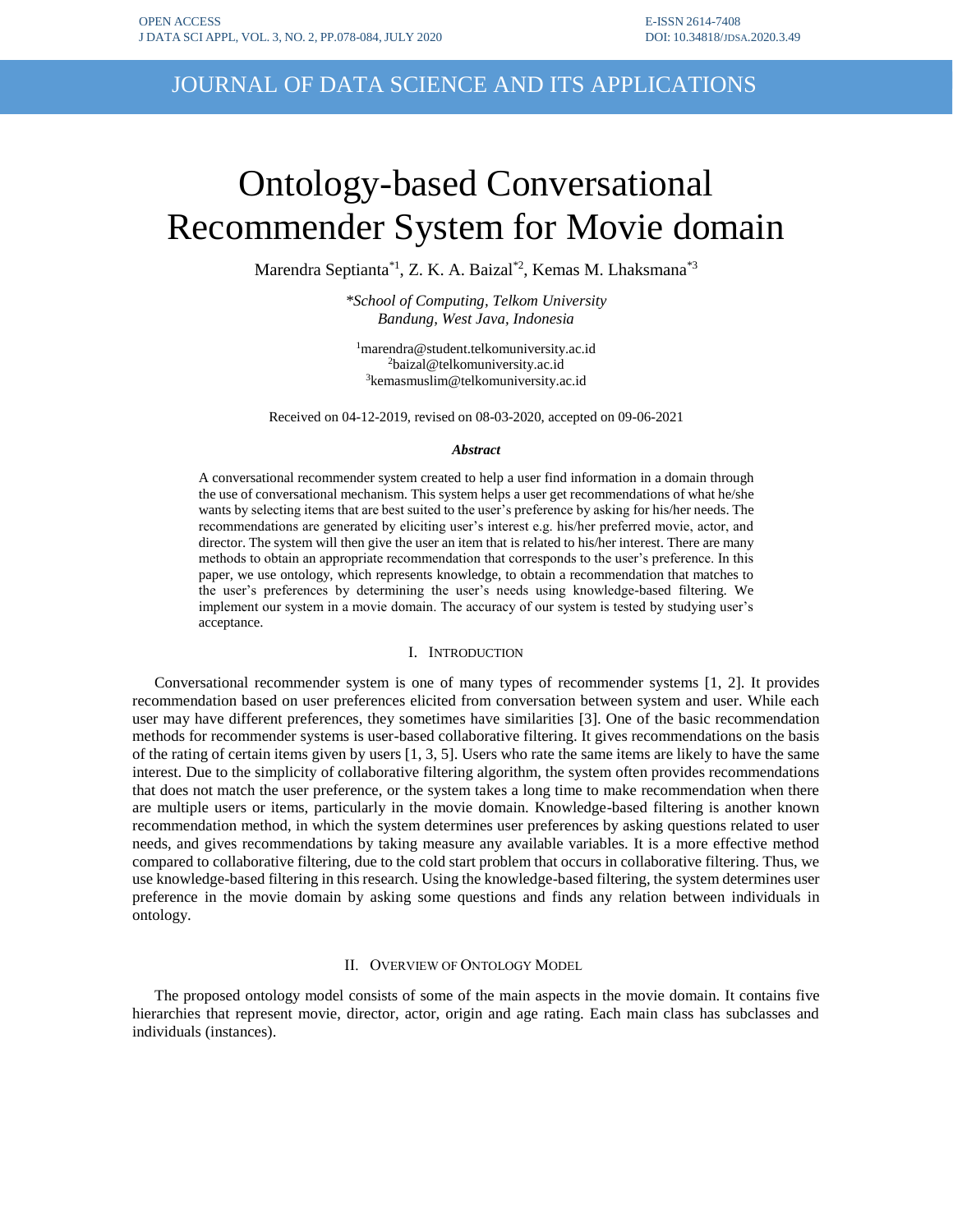## JOURNAL OF DATA SCIENCE AND ITS APPLICATIONS

# Ontology-based Conversational Recommender System for Movie domain

Marendra Septianta\*1, Z. K. A. Baizal\*2 , Kemas M. Lhaksmana\*3

*\*School of Computing, Telkom University Bandung, West Java, Indonesia*

<sup>1</sup>marendra@student.telkomuniversity.ac.id <sup>2</sup>baizal@telkomuniversity.ac.id <sup>3</sup>[kemasmuslim@telkomuniversity.ac.id](mailto:3kemasmuslim@telkomuniversity.ac.id)

Received on 04-12-2019, revised on 08-03-2020, accepted on 09-06-2021

#### *Abstract*

A conversational recommender system created to help a user find information in a domain through the use of conversational mechanism. This system helps a user get recommendations of what he/she wants by selecting items that are best suited to the user's preference by asking for his/her needs. The recommendations are generated by eliciting user's interest e.g. his/her preferred movie, actor, and director. The system will then give the user an item that is related to his/her interest. There are many methods to obtain an appropriate recommendation that corresponds to the user's preference. In this paper, we use ontology, which represents knowledge, to obtain a recommendation that matches to the user's preferences by determining the user's needs using knowledge-based filtering. We implement our system in a movie domain. The accuracy of our system is tested by studying user's acceptance.

## I. INTRODUCTION

Conversational recommender system is one of many types of recommender systems [1, 2]. It provides recommendation based on user preferences elicited from conversation between system and user. While each user may have different preferences, they sometimes have similarities [3]. One of the basic recommendation methods for recommender systems is user-based collaborative filtering. It gives recommendations on the basis of the rating of certain items given by users [1, 3, 5]. Users who rate the same items are likely to have the same interest. Due to the simplicity of collaborative filtering algorithm, the system often provides recommendations that does not match the user preference, or the system takes a long time to make recommendation when there are multiple users or items, particularly in the movie domain. Knowledge-based filtering is another known recommendation method, in which the system determines user preferences by asking questions related to user needs, and gives recommendations by taking measure any available variables. It is a more effective method compared to collaborative filtering, due to the cold start problem that occurs in collaborative filtering. Thus, we use knowledge-based filtering in this research. Using the knowledge-based filtering, the system determines user preference in the movie domain by asking some questions and finds any relation between individuals in ontology.

## II. OVERVIEW OF ONTOLOGY MODEL

The proposed ontology model consists of some of the main aspects in the movie domain. It contains five hierarchies that represent movie, director, actor, origin and age rating. Each main class has subclasses and individuals (instances).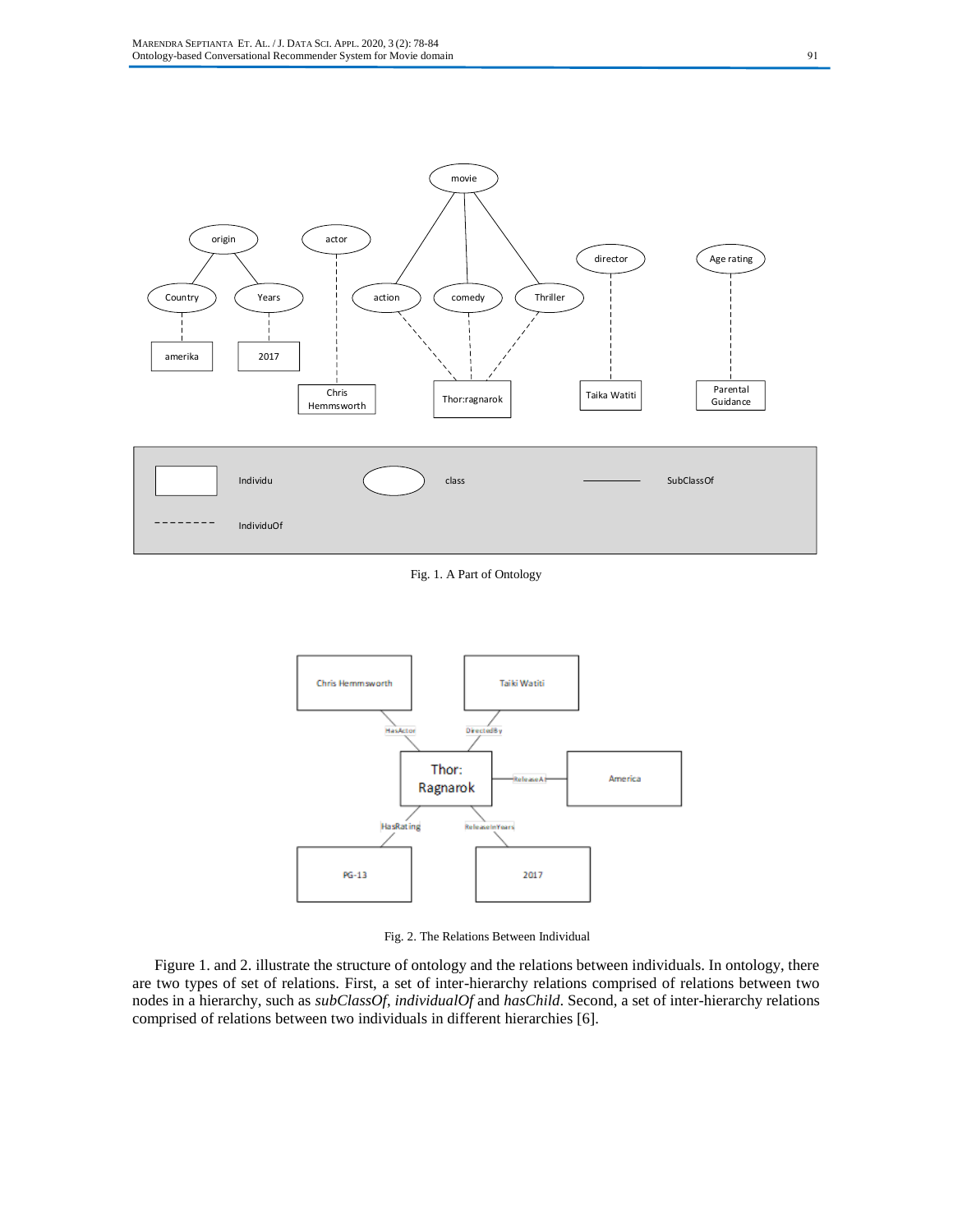

Fig. 1. A Part of Ontology



Fig. 2. The Relations Between Individual

Figure 1. and 2. illustrate the structure of ontology and the relations between individuals. In ontology, there are two types of set of relations. First, a set of inter-hierarchy relations comprised of relations between two nodes in a hierarchy, such as *subClassOf*, *individualOf* and *hasChild*. Second, a set of inter-hierarchy relations comprised of relations between two individuals in different hierarchies [6].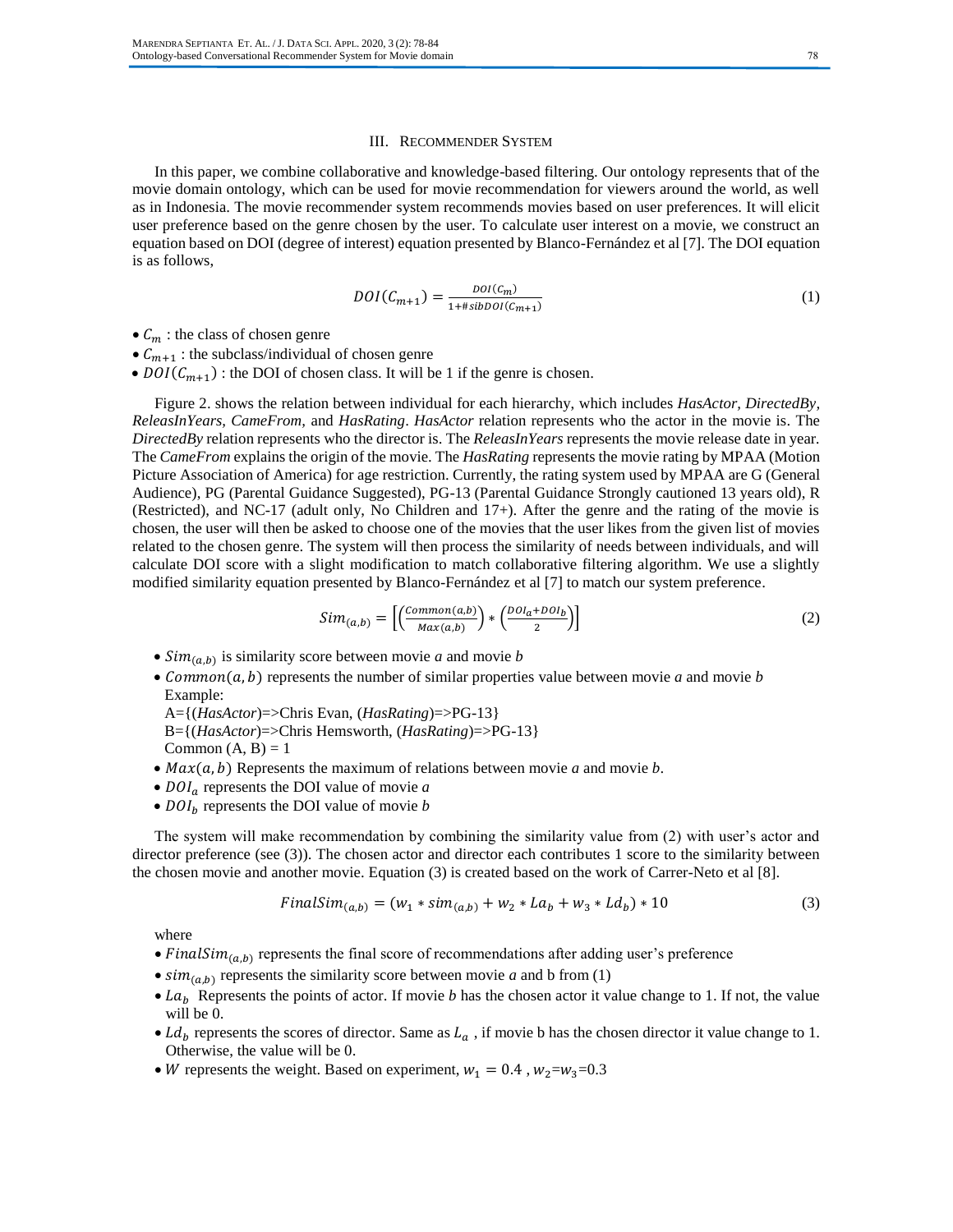## III. RECOMMENDER SYSTEM

In this paper, we combine collaborative and knowledge-based filtering. Our ontology represents that of the movie domain ontology, which can be used for movie recommendation for viewers around the world, as well as in Indonesia. The movie recommender system recommends movies based on user preferences. It will elicit user preference based on the genre chosen by the user. To calculate user interest on a movie, we construct an equation based on DOI (degree of interest) equation presented by Blanco-Fernández et al [7]. The DOI equation is as follows,

$$
DOI(C_{m+1}) = \frac{DOI(c_m)}{1+#sibDOI(c_{m+1})}
$$
\n(1)

- $\bullet$   $C_m$ : the class of chosen genre
- $C_{m+1}$ : the subclass/individual of chosen genre
- $DOI(C_{m+1})$ : the DOI of chosen class. It will be 1 if the genre is chosen.

Figure 2. shows the relation between individual for each hierarchy, which includes *HasActor, DirectedBy, ReleasInYears, CameFrom,* and *HasRating*. *HasActor* relation represents who the actor in the movie is. The *DirectedBy* relation represents who the director is. The *ReleasInYears* represents the movie release date in year*.*  The *CameFrom* explains the origin of the movie. The *HasRating* represents the movie rating by MPAA (Motion Picture Association of America) for age restriction. Currently, the rating system used by MPAA are G (General Audience), PG (Parental Guidance Suggested), PG-13 (Parental Guidance Strongly cautioned 13 years old), R (Restricted), and NC-17 (adult only, No Children and 17+). After the genre and the rating of the movie is chosen, the user will then be asked to choose one of the movies that the user likes from the given list of movies related to the chosen genre. The system will then process the similarity of needs between individuals, and will calculate DOI score with a slight modification to match collaborative filtering algorithm. We use a slightly modified similarity equation presented by Blanco-Fernández et al [7] to match our system preference.

$$
Sim_{(a,b)} = \left[ \left( \frac{Common(a,b)}{Max(a,b)} \right) * \left( \frac{DOI_a + DOI_b}{2} \right) \right]
$$
 (2)

- $Sim_{(a,b)}$  is similarity score between movie *a* and movie *b*
- *Common*( $a, b$ ) represents the number of similar properties value between movie  $a$  and movie  $b$ Example:

A={(*HasActor*)=>Chris Evan, (*HasRating*)=>PG-13} B={(*HasActor*)=>Chris Hemsworth, (*HasRating*)=>PG-13}

Common  $(A, B) = 1$ 

- $Max(a, b)$  Represents the maximum of relations between movie *a* and movie *b*.
- $D O I_a$  represents the DOI value of movie  $a$
- $D O I<sub>b</sub>$  represents the DOI value of movie *b*

The system will make recommendation by combining the similarity value from (2) with user's actor and director preference (see (3)). The chosen actor and director each contributes 1 score to the similarity between the chosen movie and another movie. Equation (3) is created based on the work of Carrer-Neto et al [8].

$$
FinalSim_{(a,b)} = (w_1 * sim_{(a,b)} + w_2 * La_b + w_3 * Ld_b) * 10
$$
\n(3)

where

- Final Sim $_{(a,b)}$  represents the final score of recommendations after adding user's preference
- $\sin(n_{(a,b)})$  represents the similarity score between movie *a* and b from (1)
- $La<sub>b</sub>$  Represents the points of actor. If movie *b* has the chosen actor it value change to 1. If not, the value will be 0.
- Ld<sub>b</sub> represents the scores of director. Same as  $L_a$ , if movie b has the chosen director it value change to 1. Otherwise, the value will be 0.
- W represents the weight. Based on experiment,  $w_1 = 0.4$ ,  $w_2 = w_3 = 0.3$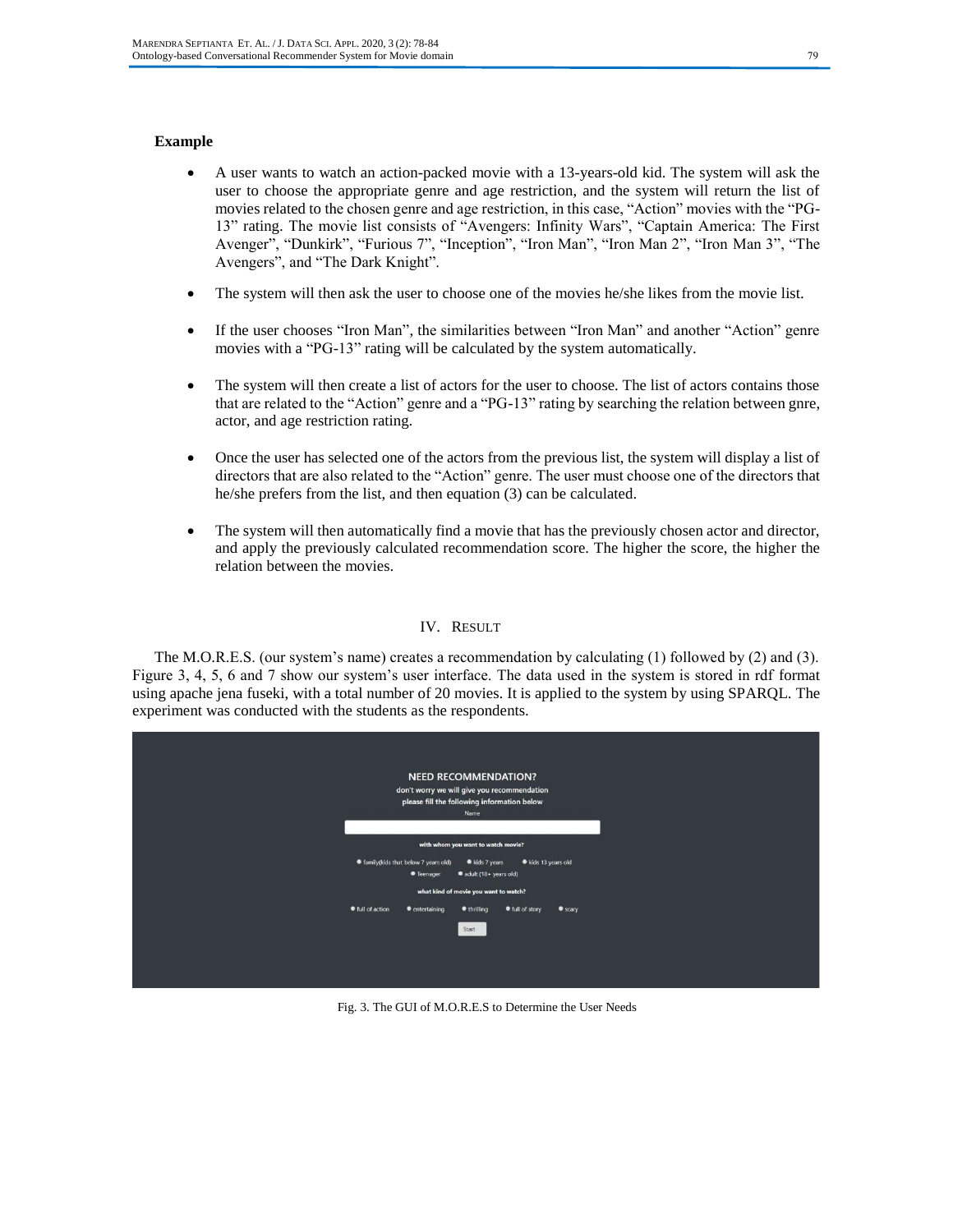## **Example**

- A user wants to watch an action-packed movie with a 13-years-old kid. The system will ask the user to choose the appropriate genre and age restriction, and the system will return the list of movies related to the chosen genre and age restriction, in this case, "Action" movies with the "PG-13" rating. The movie list consists of "Avengers: Infinity Wars", "Captain America: The First Avenger", "Dunkirk", "Furious 7", "Inception", "Iron Man", "Iron Man 2", "Iron Man 3", "The Avengers", and "The Dark Knight".
- The system will then ask the user to choose one of the movies he/she likes from the movie list.
- If the user chooses "Iron Man", the similarities between "Iron Man" and another "Action" genre movies with a "PG-13" rating will be calculated by the system automatically.
- The system will then create a list of actors for the user to choose. The list of actors contains those that are related to the "Action" genre and a "PG-13" rating by searching the relation between gnre, actor, and age restriction rating.
- Once the user has selected one of the actors from the previous list, the system will display a list of directors that are also related to the "Action" genre. The user must choose one of the directors that he/she prefers from the list, and then equation (3) can be calculated.
- The system will then automatically find a movie that has the previously chosen actor and director, and apply the previously calculated recommendation score. The higher the score, the higher the relation between the movies.

## IV. RESULT

The M.O.R.E.S. (our system's name) creates a recommendation by calculating (1) followed by (2) and (3). Figure 3, 4, 5, 6 and 7 show our system's user interface. The data used in the system is stored in rdf format using apache jena fuseki, with a total number of 20 movies. It is applied to the system by using SPARQL. The experiment was conducted with the students as the respondents.



Fig. 3. The GUI of M.O.R.E.S to Determine the User Needs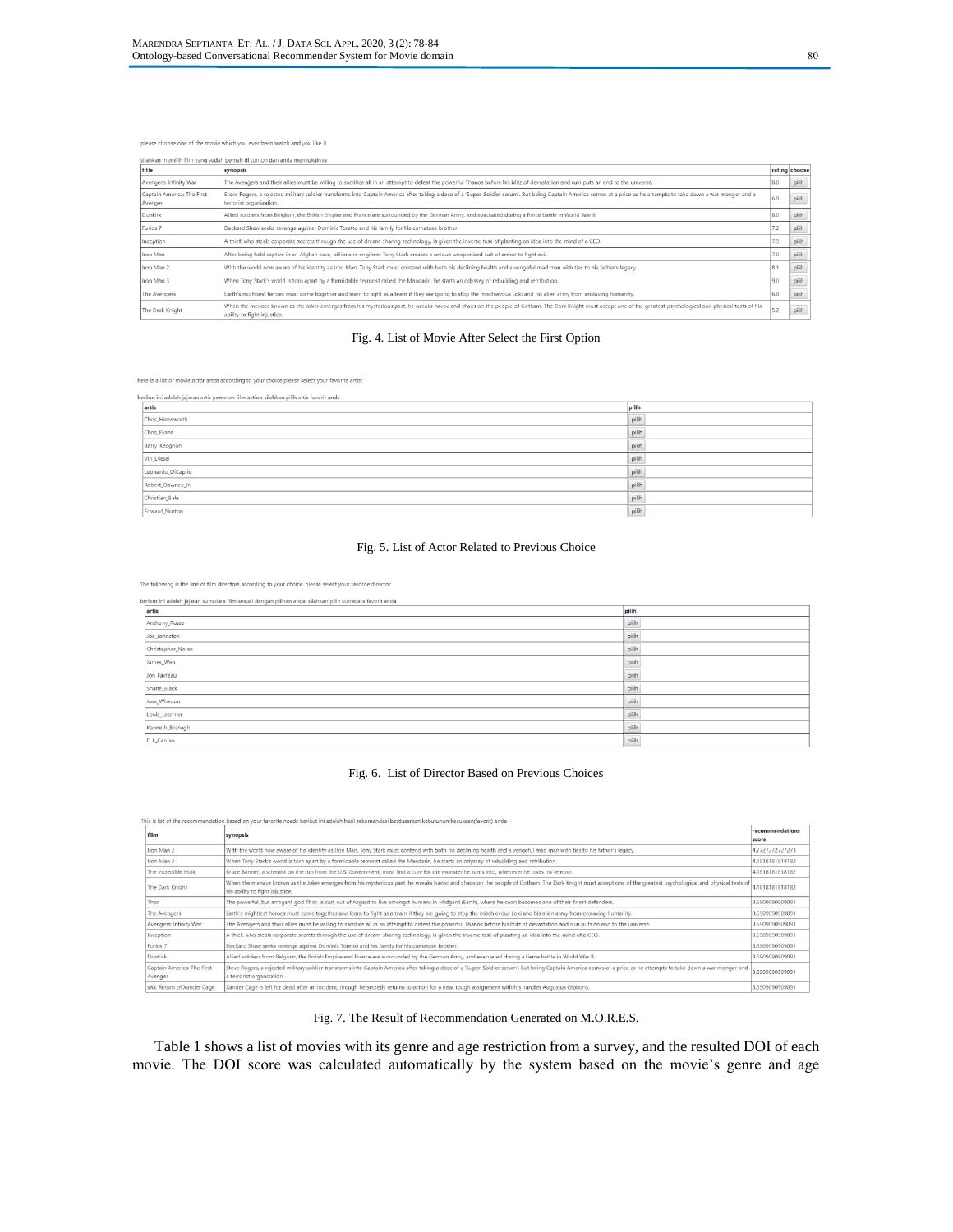#### please choose one of the movie which you ever been watch and you like it

| silahkan memilih film yang sudah pernah di tonton dan anda menyukainya |                                                                                                                                                                                                                                                |     |               |  |  |
|------------------------------------------------------------------------|------------------------------------------------------------------------------------------------------------------------------------------------------------------------------------------------------------------------------------------------|-----|---------------|--|--|
| title                                                                  | synopsis                                                                                                                                                                                                                                       |     | rating choose |  |  |
| Avengers: Infinity War                                                 | The Avengers and their allies must be willing to sacrifice all in an attempt to defeat the powerful Thanos before his blitz of devastation and ruin puts an end to the universe.                                                               | 8.8 | pilih         |  |  |
| Captain America: The First<br>Avenger                                  | Steve Rogers, a rejected military soldier transforms into Captain America after taking a dose of a 'Super-Soldier serum'. But being Captain America comes at a price as he attempts to take down a war monger and a<br>terrorist organization. | 6.9 | pilih         |  |  |
| Dunkirk                                                                | Allied soldiers from Belgium, the British Empire and France are surrounded by the German Army, and evacuated during a fierce battle in World War II.                                                                                           | 8.0 | pilih         |  |  |
| Furios 7                                                               | Deckard Shaw seeks revenge against Dominic Toretto and his family for his comatose brother.                                                                                                                                                    | 7.2 | pilih         |  |  |
| Inception                                                              | A thief, who steals corporate secrets through the use of dream-sharing technology, is given the inverse task of planting an idea into the mind of a CEO.                                                                                       | 7.9 | pilih         |  |  |
| Iron Man                                                               | After being held captive in an Afghan cave, billionaire engineer Tony Stark creates a unique weaponized suit of armor to fight evil.                                                                                                           | 7.0 | pilih         |  |  |
| Iron Man 2                                                             | With the world now aware of his identity as Iron Man, Tony Stark must contend with both his declining health and a vengeful mad man with ties to his father's legacy.                                                                          | 8.1 | pilih         |  |  |
| Iron Man 3                                                             | When Tony Stark's world is torn apart by a formidable terrorist called the Mandarin, he starts an odyssey of rebuilding and retribution.                                                                                                       | 9.0 | pilih         |  |  |
| The Avengers                                                           | Earth's mightiest heroes must come together and learn to fight as a team if they are going to stop the mischievous Loki and his alien army from enslaving humanity.                                                                            | 6.8 | pilih         |  |  |
| The Dark Knight                                                        | When the menace known as the Joker emerges from his mysterious past, he wreaks havoc and chaos on the people of Gotham. The Dark Knight must accept one of the greatest psychological and physical tests of his<br>ability to fight injustice. | 5.2 | pilih         |  |  |

## Fig. 4. List of Movie After Select the First Option

here is a list of movie actor artist according to your choice.please select your favorite artist

| berikut ini adalah jajaran artis pemeran film action silahkan pilih artis favorit anda |       |  |  |
|----------------------------------------------------------------------------------------|-------|--|--|
| artis                                                                                  | pilih |  |  |
| Chris Hemsworth                                                                        | pilit |  |  |
| Chris_Evans                                                                            | pilit |  |  |
| Barry_Keoghan                                                                          | pilih |  |  |
| Vin_Diesel                                                                             | pilit |  |  |
| Leonardo_DiCaprio                                                                      | pilih |  |  |
| Robert_Downey_Jr.                                                                      | pilit |  |  |
| Christian_Bale                                                                         | pilih |  |  |
| Edward Norton                                                                          | pilih |  |  |

## Fig. 5. List of Actor Related to Previous Choice

The following is the line of film directors according to your choice. please select your favorite director

berikut ini adalah jajaran sutradara film sesuai dengan pilihan anda. silahkan pilih sutradara favorit anda

| artis             | pilih |
|-------------------|-------|
| Anthony_Russo     | pilih |
| Joe_Johnston      | pilih |
| Christopher_Nolan | pilih |
| James_Wan         | pilih |
| Jon_Favreau       | pilih |
| Shane_Black       | pilih |
| Joss_Whedon       | pilih |
| Louis_Leterrier   | pilih |
| Kenneth_Branagh   | pilih |
| D.J._Caruso       | pilih |

#### Fig. 6. List of Director Based on Previous Choices

| This is list of the recommendation based on your favorite needs berikut ini adalah hasil rekomendasi berdasarkan kebutuhan/kesukaan(favorit) anda |                                                                                                                                                                                                                                                |                          |  |  |
|---------------------------------------------------------------------------------------------------------------------------------------------------|------------------------------------------------------------------------------------------------------------------------------------------------------------------------------------------------------------------------------------------------|--------------------------|--|--|
| film                                                                                                                                              | synopsis                                                                                                                                                                                                                                       | recommendations<br>score |  |  |
| Iron Man 2                                                                                                                                        | With the world now aware of his identity as Iron Man, Tony Stark must contend with both his declining health and a vengeful mad man with ties to his father's legacy.                                                                          | 4.7727272727273          |  |  |
| Iron Man 3                                                                                                                                        | When Tony Stark's world is torn apart by a formidable terrorist called the Mandarin, he starts an odyssey of rebuilding and retribution.                                                                                                       | 4.1818181818182          |  |  |
| The Incredible Hulk                                                                                                                               | Bruce Banner, a scientist on the run from the U.S. Government, must find a cure for the monster he turns into, whenever he loses his temper.                                                                                                   | 4.1818181818182          |  |  |
| The Dark Knight                                                                                                                                   | When the menace known as the Joker emerges from his mysterious past, he wreaks havoc and chaos on the people of Gotham. The Dark Knight must accept one of the greatest psychological and physical tests of<br>his ability to fight injustice. | 4.1818181818182          |  |  |
| Thor                                                                                                                                              | The powerful, but arrogant god Thor, is cast out of Asgard to live amongst humans in Midgard (Earth), where he soon becomes one of their finest defenders.                                                                                     | 3.5909090909091          |  |  |
| The Avengers                                                                                                                                      | Earth's mightiest heroes must come together and learn to fight as a team if they are going to stop the mischievous Loki and his alien army from enslaving humanity.                                                                            | 3.5909090909091          |  |  |
| Avengers: Infinity War                                                                                                                            | The Avengers and their allies must be willing to sacrifice all in an attempt to defeat the powerful Thanos before his blitz of devastation and ruin puts an end to the universe.                                                               | 3.5909090909091          |  |  |
| Inception                                                                                                                                         | A thief, who steals corporate secrets through the use of dream-sharing technology, is given the inverse task of planting an idea into the mind of a CEO.                                                                                       | 3.5909090909091          |  |  |
| Furios 7                                                                                                                                          | Deckard Shaw seeks revenge against Dominic Toretto and his family for his comatose brother.                                                                                                                                                    | 3.5909090909091          |  |  |
| Dunkirk                                                                                                                                           | Allied soldiers from Belgium, the British Empire and France are surrounded by the German Army, and evacuated during a fierce battle in World War II.                                                                                           | 3.5909090909091          |  |  |
| Captain America: The First<br>Avenger                                                                                                             | Steve Rogers, a rejected military soldier transforms into Captain America after taking a dose of a 'Super-Soldier serum'. But being Captain America comes at a price as he attempts to take down a war monger and<br>a terrorist organization. | 3.5909090909091          |  |  |
| xXx: Return of Xander Cage                                                                                                                        | Xander Cage is left for dead after an incident, though he secretly returns to action for a new, tough assignment with his handler Augustus Gibbons.                                                                                            | 3.5909090909091          |  |  |

## Fig. 7. The Result of Recommendation Generated on M.O.R.E.S.

Table 1 shows a list of movies with its genre and age restriction from a survey, and the resulted DOI of each movie. The DOI score was calculated automatically by the system based on the movie's genre and age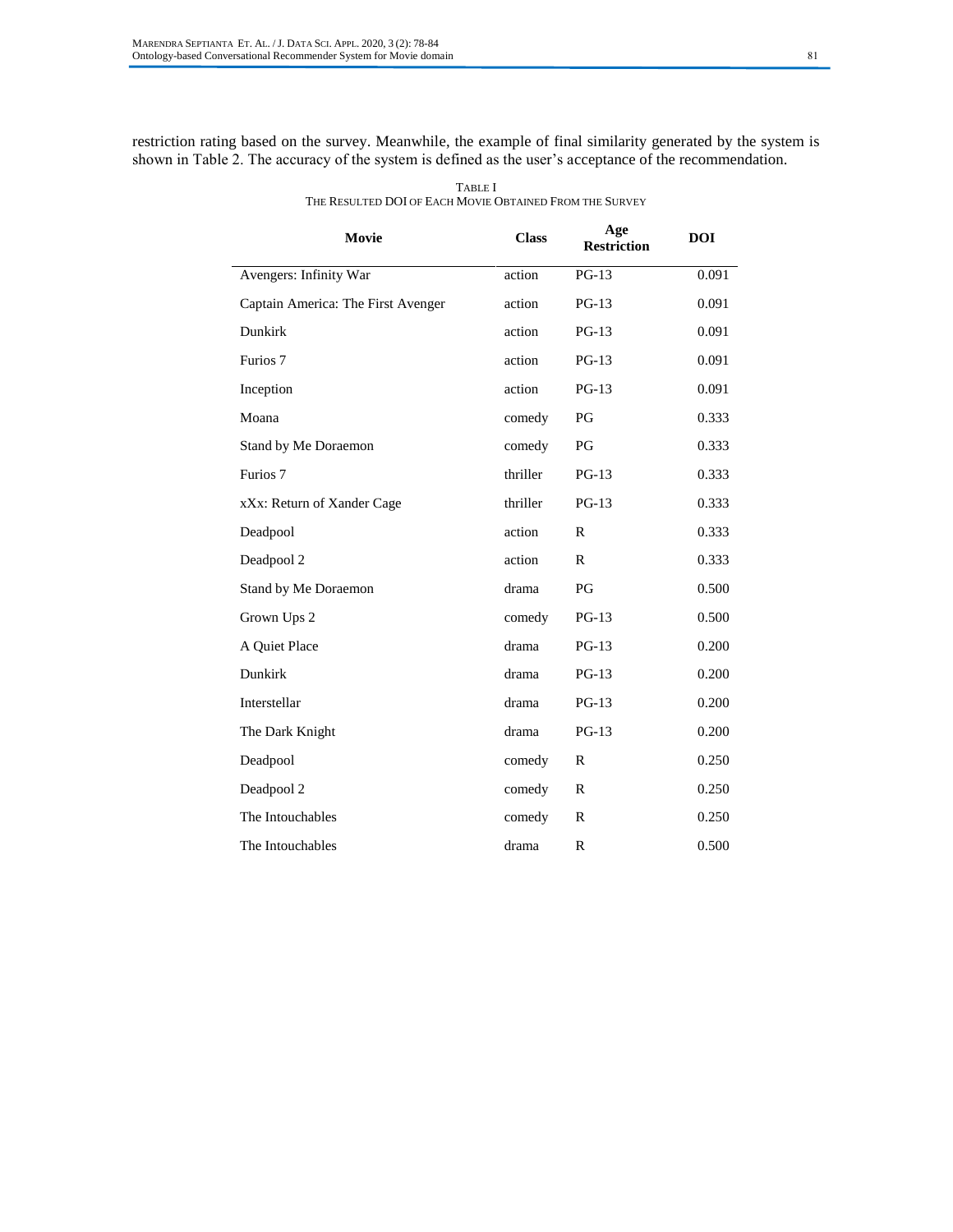restriction rating based on the survey. Meanwhile, the example of final similarity generated by the system is shown in Table 2. The accuracy of the system is defined as the user's acceptance of the recommendation.

| Movie                              | <b>Class</b> | Age<br><b>Restriction</b> | <b>DOI</b> |
|------------------------------------|--------------|---------------------------|------------|
| Avengers: Infinity War             | action       | $PG-13$                   | 0.091      |
| Captain America: The First Avenger | action       | $PG-13$                   | 0.091      |
| Dunkirk                            | action       | $PG-13$                   | 0.091      |
| Furios 7                           | action       | $PG-13$                   | 0.091      |
| Inception                          | action       | $PG-13$                   | 0.091      |
| Moana                              | comedy       | PG                        | 0.333      |
| Stand by Me Doraemon               | comedy       | PG                        | 0.333      |
| Furios 7                           | thriller     | $PG-13$                   | 0.333      |
| xXx: Return of Xander Cage         | thriller     | $PG-13$                   | 0.333      |
| Deadpool                           | action       | $\mathbb{R}$              | 0.333      |
| Deadpool 2                         | action       | $\mathbb{R}$              | 0.333      |
| Stand by Me Doraemon               | drama        | PG                        | 0.500      |
| Grown Ups 2                        | comedy       | $PG-13$                   | 0.500      |
| A Quiet Place                      | drama        | $PG-13$                   | 0.200      |
| Dunkirk                            | drama        | $PG-13$                   | 0.200      |
| Interstellar                       | drama        | $PG-13$                   | 0.200      |
| The Dark Knight                    | drama        | $PG-13$                   | 0.200      |
| Deadpool                           | comedy       | $\mathbb{R}$              | 0.250      |
| Deadpool 2                         | comedy       | R                         | 0.250      |
| The Intouchables                   | comedy       | $\mathbb{R}$              | 0.250      |
| The Intouchables                   | drama        | $\mathbb{R}$              | 0.500      |

TABLE I THE RESULTED DOI OF EACH MOVIE OBTAINED FROM THE SURVEY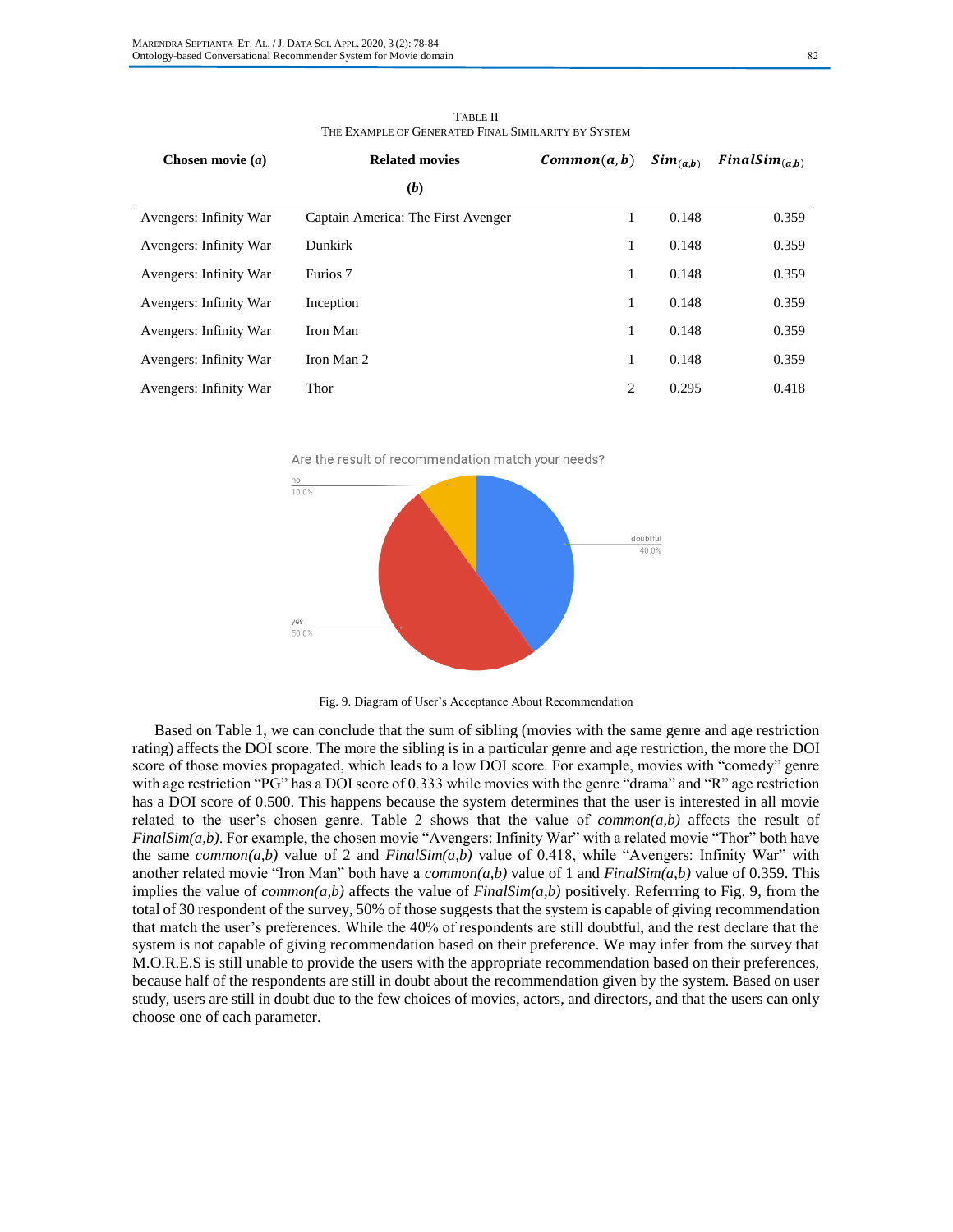| Chosen movie $(a)$     | <b>Related movies</b>              | Common(a, b) | $Sim_{(a,b)}$ | $FinalSim_{(a,b)}$ |
|------------------------|------------------------------------|--------------|---------------|--------------------|
|                        | (b)                                |              |               |                    |
| Avengers: Infinity War | Captain America: The First Avenger |              | 0.148         | 0.359              |
| Avengers: Infinity War | Dunkirk                            | 1            | 0.148         | 0.359              |
| Avengers: Infinity War | Furios 7                           | 1            | 0.148         | 0.359              |
| Avengers: Infinity War | Inception                          | 1            | 0.148         | 0.359              |
| Avengers: Infinity War | Iron Man                           | 1            | 0.148         | 0.359              |
| Avengers: Infinity War | Iron Man 2                         | 1            | 0.148         | 0.359              |
| Avengers: Infinity War | Thor                               | 2            | 0.295         | 0.418              |

TABLE II THE EXAMPLE OF GENERATED FINAL SIMILARITY BY SYSTEM

Are the result of recommendation match your needs?



Fig. 9. Diagram of User's Acceptance About Recommendation

Based on Table 1, we can conclude that the sum of sibling (movies with the same genre and age restriction rating) affects the DOI score. The more the sibling is in a particular genre and age restriction, the more the DOI score of those movies propagated, which leads to a low DOI score. For example, movies with "comedy" genre with age restriction "PG" has a DOI score of 0.333 while movies with the genre "drama" and "R" age restriction has a DOI score of 0.500. This happens because the system determines that the user is interested in all movie related to the user's chosen genre. Table 2 shows that the value of *common(a,b)* affects the result of *FinalSim(a,b)*. For example, the chosen movie "Avengers: Infinity War" with a related movie "Thor" both have the same *common(a,b)* value of 2 and *FinalSim(a,b)* value of 0.418, while "Avengers: Infinity War" with another related movie "Iron Man" both have a *common(a,b)* value of 1 and *FinalSim(a,b)* value of 0.359. This implies the value of *common(a,b)* affects the value of *FinalSim(a,b)* positively. Referrring to Fig. 9, from the total of 30 respondent of the survey, 50% of those suggests that the system is capable of giving recommendation that match the user's preferences. While the 40% of respondents are still doubtful, and the rest declare that the system is not capable of giving recommendation based on their preference. We may infer from the survey that M.O.R.E.S is still unable to provide the users with the appropriate recommendation based on their preferences, because half of the respondents are still in doubt about the recommendation given by the system. Based on user study, users are still in doubt due to the few choices of movies, actors, and directors, and that the users can only choose one of each parameter.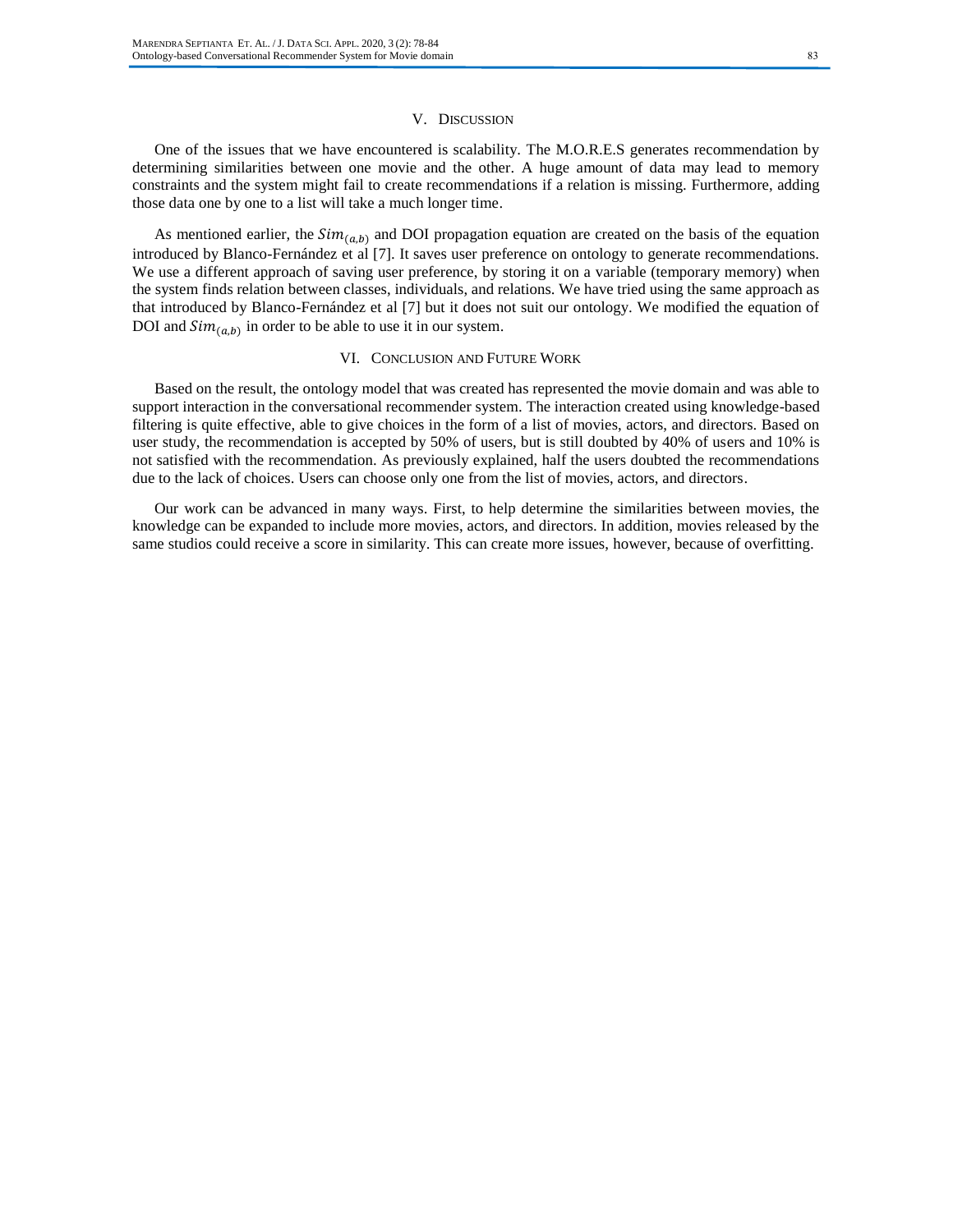## V. DISCUSSION

One of the issues that we have encountered is scalability. The M.O.R.E.S generates recommendation by determining similarities between one movie and the other. A huge amount of data may lead to memory constraints and the system might fail to create recommendations if a relation is missing. Furthermore, adding those data one by one to a list will take a much longer time.

As mentioned earlier, the  $Sim_{(a,b)}$  and DOI propagation equation are created on the basis of the equation introduced by Blanco-Fernández et al [7]. It saves user preference on ontology to generate recommendations. We use a different approach of saving user preference, by storing it on a variable (temporary memory) when the system finds relation between classes, individuals, and relations. We have tried using the same approach as that introduced by Blanco-Fernández et al [7] but it does not suit our ontology. We modified the equation of DOI and  $Sim_{(a,b)}$  in order to be able to use it in our system.

## VI. CONCLUSION AND FUTURE WORK

Based on the result, the ontology model that was created has represented the movie domain and was able to support interaction in the conversational recommender system. The interaction created using knowledge-based filtering is quite effective, able to give choices in the form of a list of movies, actors, and directors. Based on user study, the recommendation is accepted by 50% of users, but is still doubted by 40% of users and 10% is not satisfied with the recommendation. As previously explained, half the users doubted the recommendations due to the lack of choices. Users can choose only one from the list of movies, actors, and directors.

Our work can be advanced in many ways. First, to help determine the similarities between movies, the knowledge can be expanded to include more movies, actors, and directors. In addition, movies released by the same studios could receive a score in similarity. This can create more issues, however, because of overfitting.